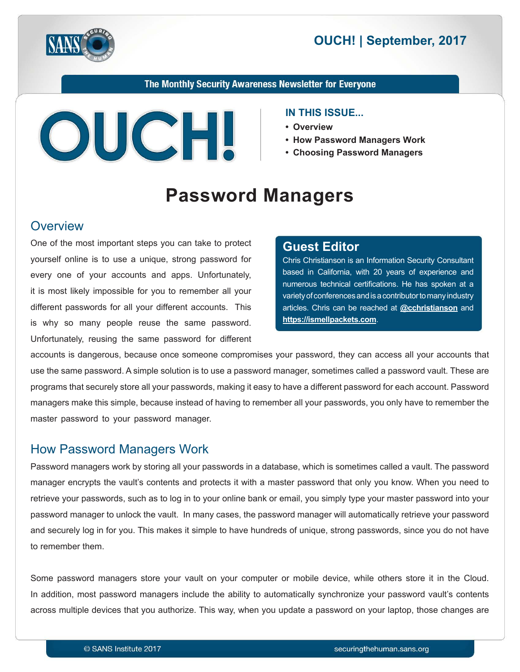



The Monthly Security Awareness Newsletter for Everyone



#### **IN THIS ISSUE...**

- **Overview•**
- How Password Managers Work
- Choosing Password Managers

# **Password Managers**

#### **Overview**

One of the most important steps you can take to protect yourself online is to use a unique, strong password for every one of your accounts and apps. Unfortunately, it is most likely impossible for you to remember all your different passwords for all your different accounts. This is why so many people reuse the same password. Unfortunately, reusing the same password for different

#### **Editor Guest**

Chris Christianson is an Information Security Consultant based in California, with 20 years of experience and numerous technical certifications. He has spoken at a variety of conferences and is a contributor to many industry articles. Chris can be reached at **@[cchristianson](https://twitter.com/cchristianson)** and https://ismellpackets.com.

accounts is dangerous, because once someone compromises your password, they can access all your accounts that use the same password. A simple solution is to use a password manager, sometimes called a password vault. These are programs that securely store all your passwords, making it easy to have a different password for each account. Password managers make this simple, because instead of having to remember all your passwords, you only have to remember the master password to your password manager.

#### How Password Managers Work

Password managers work by storing all your passwords in a database, which is sometimes called a vault. The password manager encrypts the vault's contents and protects it with a master password that only you know. When you need to retrieve your passwords, such as to log in to your online bank or email, you simply type your master password into your password manager to unlock the vault. In many cases, the password manager will automatically retrieve your password and securely log in for you. This makes it simple to have hundreds of unique, strong passwords, since you do not have to remember them.

Some password managers store your vault on your computer or mobile device, while others store it in the Cloud. In addition, most password managers include the ability to automatically synchronize your password vault's contents across multiple devices that you authorize. This way, when you update a password on your laptop, those changes are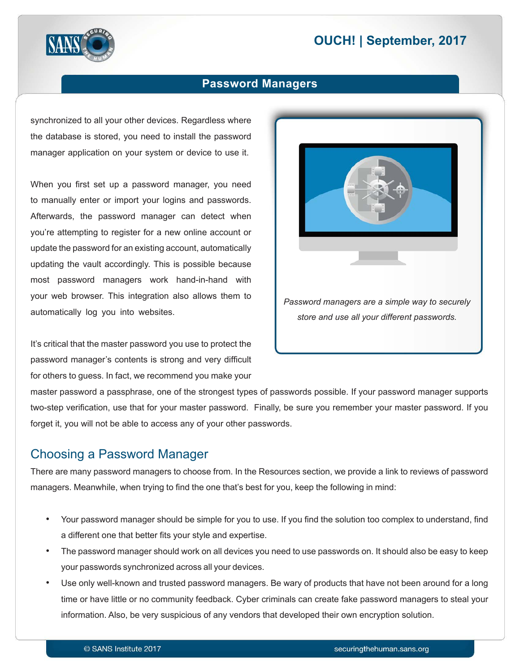# **2017 DUCH! | September, 2017**



#### **Password Managers**

synchronized to all your other devices. Regardless where the database is stored, you need to install the password manager application on your system or device to use it.

When you first set up a password manager, you need to manually enter or import your logins and passwords. Afterwards, the password manager can detect when you're attempting to register for a new online account or update the password for an existing account, automatically updating the vault accordingly. This is possible because most password managers work hand-in-hand with your web browser. This integration also allows them to automatically log you into websites.

It's critical that the master password you use to protect the password manager's contents is strong and very difficult for others to quess. In fact, we recommend you make your



master password a passphrase, one of the strongest types of passwords possible. If your password manager supports two-step verification, use that for your master password. Finally, be sure you remember your master password. If you forget it, you will not be able to access any of your other passwords.

#### Choosing a Password Manager

There are many password managers to choose from. In the Resources section, we provide a link to reviews of password managers. Meanwhile, when trying to find the one that's best for you, keep the following in mind:

- Your password manager should be simple for you to use. If you find the solution too complex to understand, find a different one that better fits your style and expertise.
- The password manager should work on all devices you need to use passwords on. It should also be easy to keep your passwords synchronized across all your devices.
- Use only well-known and trusted password managers. Be wary of products that have not been around for a long time or have little or no community feedback. Cyber criminals can create fake password managers to steal your information. Also, be very suspicious of any vendors that developed their own encryption solution.